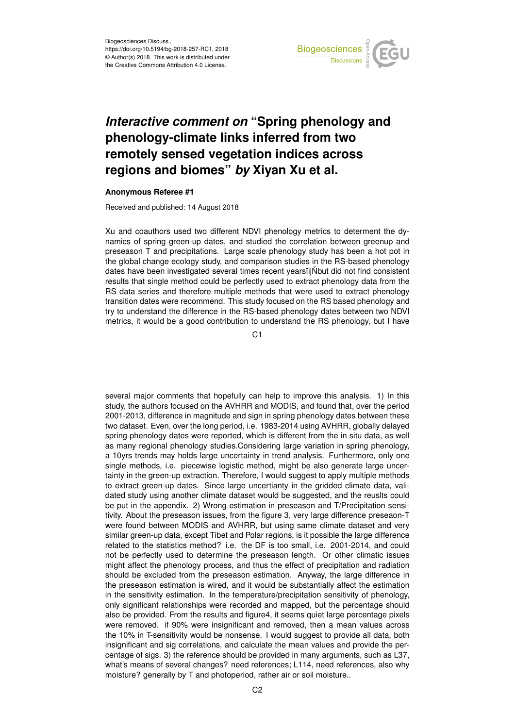

## *Interactive comment on* **"Spring phenology and phenology-climate links inferred from two remotely sensed vegetation indices across regions and biomes"** *by* **Xiyan Xu et al.**

## **Anonymous Referee #1**

Received and published: 14 August 2018

Xu and coauthors used two different NDVI phenology metrics to determent the dynamics of spring green-up dates, and studied the correlation between greenup and preseason T and precipitations. Large scale phenology study has been a hot pot in the global change ecology study, and comparison studies in the RS-based phenology dates have been investigated several times recent years iij Nbut did not find consistent results that single method could be perfectly used to extract phenology data from the RS data series and therefore multiple methods that were used to extract phenology transition dates were recommend. This study focused on the RS based phenology and try to understand the difference in the RS-based phenology dates between two NDVI metrics, it would be a good contribution to understand the RS phenology, but I have

C<sub>1</sub>

several major comments that hopefully can help to improve this analysis. 1) In this study, the authors focused on the AVHRR and MODIS, and found that, over the period 2001-2013, difference in magnitude and sign in spring phenology dates between these two dataset. Even, over the long period, i.e. 1983-2014 using AVHRR, globally delayed spring phenology dates were reported, which is different from the in situ data, as well as many regional phenology studies.Considering large variation in spring phenology, a 10yrs trends may holds large uncertainty in trend analysis. Furthermore, only one single methods, i.e. piecewise logistic method, might be also generate large uncertainty in the green-up extraction. Therefore, I would suggest to apply multiple methods to extract green-up dates. Since large uncertianty in the gridded climate data, validated study using another climate dataset would be suggested, and the reuslts could be put in the appendix. 2) Wrong estimation in preseason and T/Precipitation sensitivity. About the preseason issues, from the figure 3, very large difference preseaon-T were found between MODIS and AVHRR, but using same climate dataset and very similar green-up data, except Tibet and Polar regions, is it possible the large difference related to the statistics method? i.e. the DF is too small, i.e. 2001-2014, and could not be perfectly used to determine the preseason length. Or other climatic issues might affect the phenology process, and thus the effect of precipitation and radiation should be excluded from the preseason estimation. Anyway, the large difference in the preseason estimation is wired, and it would be substantially affect the estimation in the sensitivity estimation. In the temperature/precipitation sensitivity of phenology, only significant relationships were recorded and mapped, but the percentage should also be provided. From the results and figure4, it seems quiet large percentage pixels were removed. if 90% were insignificant and removed, then a mean values across the 10% in T-sensitivity would be nonsense. I would suggest to provide all data, both insignificant and sig correlations, and calculate the mean values and provide the percentage of sigs. 3) the reference should be provided in many arguments, such as L37, what's means of several changes? need references; L114, need references, also why moisture? generally by T and photoperiod, rather air or soil moisture..